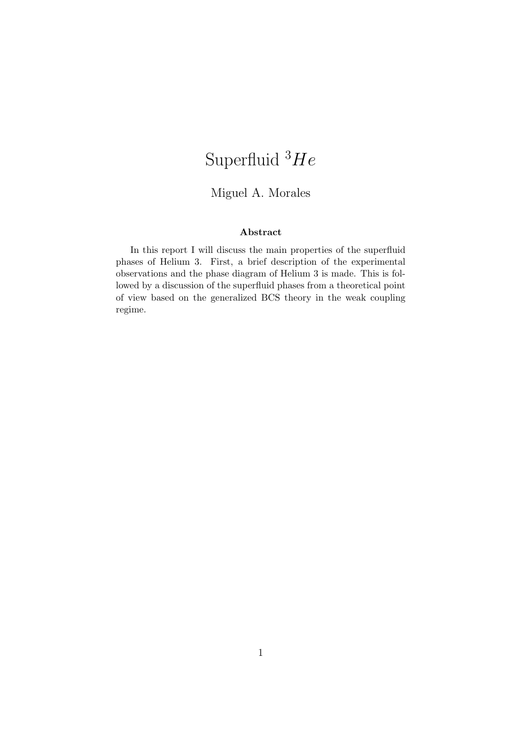# Superfluid  $^3He$

#### Miguel A. Morales

#### Abstract

In this report I will discuss the main properties of the superfluid phases of Helium 3. First, a brief description of the experimental observations and the phase diagram of Helium 3 is made. This is followed by a discussion of the superfluid phases from a theoretical point of view based on the generalized BCS theory in the weak coupling regime.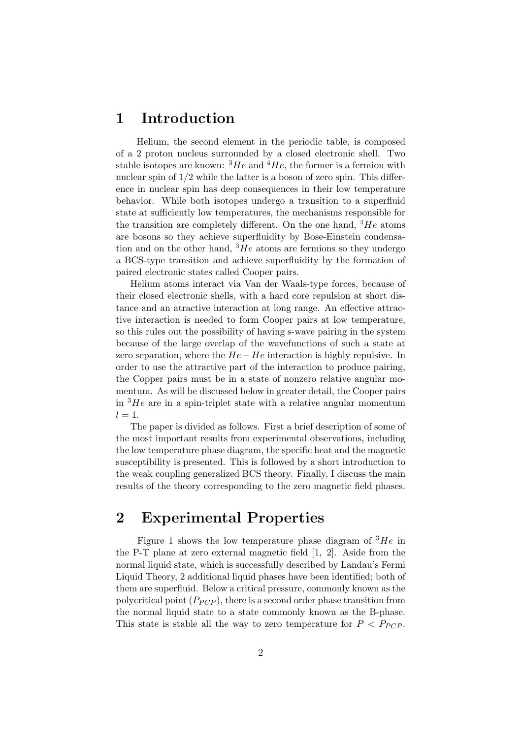#### 1 Introduction

Helium, the second element in the periodic table, is composed of a 2 proton nucleus surrounded by a closed electronic shell. Two stable isotopes are known:  $^{3}He$  and  $^{4}He$ , the former is a fermion with nuclear spin of  $1/2$  while the latter is a boson of zero spin. This difference in nuclear spin has deep consequences in their low temperature behavior. While both isotopes undergo a transition to a superfluid state at sufficiently low temperatures, the mechanisms responsible for the transition are completely different. On the one hand,  $4He$  atoms are bosons so they achieve superfluidity by Bose-Einstein condensation and on the other hand,  ${}^{3}He$  atoms are fermions so they undergo a BCS-type transition and achieve superfluidity by the formation of paired electronic states called Cooper pairs.

Helium atoms interact via Van der Waals-type forces, because of their closed electronic shells, with a hard core repulsion at short distance and an atractive interaction at long range. An effective attractive interaction is needed to form Cooper pairs at low temperature, so this rules out the possibility of having s-wave pairing in the system because of the large overlap of the wavefunctions of such a state at zero separation, where the  $He - He$  interaction is highly repulsive. In order to use the attractive part of the interaction to produce pairing, the Copper pairs must be in a state of nonzero relative angular momentum. As will be discussed below in greater detail, the Cooper pairs in  ${}^{3}He$  are in a spin-triplet state with a relative angular momentum  $l=1$ .

The paper is divided as follows. First a brief description of some of the most important results from experimental observations, including the low temperature phase diagram, the specific heat and the magnetic susceptibility is presented. This is followed by a short introduction to the weak coupling generalized BCS theory. Finally, I discuss the main results of the theory corresponding to the zero magnetic field phases.

## 2 Experimental Properties

Figure 1 shows the low temperature phase diagram of  ${}^{3}He$  in the P-T plane at zero external magnetic field [1, 2]. Aside from the normal liquid state, which is successfully described by Landau's Fermi Liquid Theory, 2 additional liquid phases have been identified; both of them are superfluid. Below a critical pressure, commonly known as the polycritical point  $(P_{PCP})$ , there is a second order phase transition from the normal liquid state to a state commonly known as the B-phase. This state is stable all the way to zero temperature for  $P < P_{PCP}$ .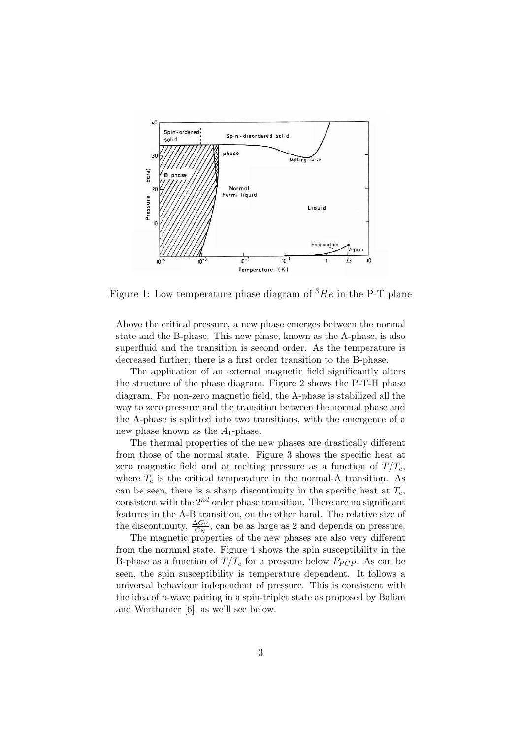

Figure 1: Low temperature phase diagram of  ${}^{3}He$  in the P-T plane

Above the critical pressure, a new phase emerges between the normal state and the B-phase. This new phase, known as the A-phase, is also superfluid and the transition is second order. As the temperature is decreased further, there is a first order transition to the B-phase.

The application of an external magnetic field significantly alters the structure of the phase diagram. Figure 2 shows the P-T-H phase diagram. For non-zero magnetic field, the A-phase is stabilized all the way to zero pressure and the transition between the normal phase and the A-phase is splitted into two transitions, with the emergence of a new phase known as the  $A_1$ -phase.

The thermal properties of the new phases are drastically different from those of the normal state. Figure 3 shows the specific heat at zero magnetic field and at melting pressure as a function of  $T/T_c$ , where  $T_c$  is the critical temperature in the normal-A transition. As can be seen, there is a sharp discontinuity in the specific heat at  $T_c$ , consistent with the  $2^{nd}$  order phase transition. There are no significant features in the A-B transition, on the other hand. The relative size of the discontinuity,  $\frac{\Delta C_V}{C_N}$ , can be as large as 2 and depends on pressure.

The magnetic properties of the new phases are also very different from the normnal state. Figure 4 shows the spin susceptibility in the B-phase as a function of  $T/T_c$  for a pressure below  $P_{PCP}$ . As can be seen, the spin susceptibility is temperature dependent. It follows a universal behaviour independent of pressure. This is consistent with the idea of p-wave pairing in a spin-triplet state as proposed by Balian and Werthamer [6], as we'll see below.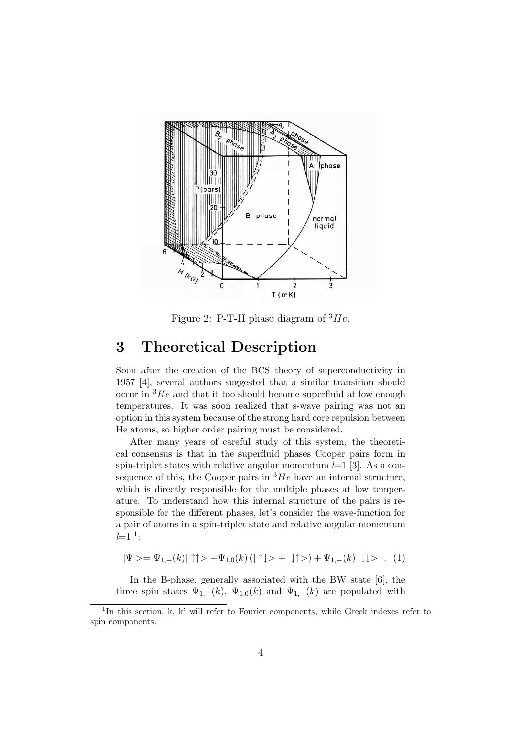

Figure 2: P-T-H phase diagram of  $^3He$ .

#### 3 Theoretical Description

Soon after the creation of the BCS theory of superconductivity in 1957 [4], several authors suggested that a similar transition should occur in  ${}^{3}He$  and that it too should become superfluid at low enough temperatures. It was soon realized that s-wave pairing was not an option in this system because of the strong hard core repulsion between He atoms, so higher order pairing must be considered.

After many years of careful study of this system, the theoretical consensus is that in the superfluid phases Cooper pairs form in spin-triplet states with relative angular momentum  $l=1$  [3]. As a consequence of this, the Cooper pairs in  ${}^{3}He$  have an internal structure, which is directly responsible for the multiple phases at low temperature. To understand how this internal structure of the pairs is responsible for the different phases, let's consider the wave-function for a pair of atoms in a spin-triplet state and relative angular momentum  $l=1$ <sup>1</sup>:

$$
|\Psi\rangle = \Psi_{1,+}(k)|\uparrow\uparrow\rangle + \Psi_{1,0}(k)(|\uparrow\downarrow\rangle + |\downarrow\uparrow\rangle) + \Psi_{1,-}(k)|\downarrow\downarrow\rangle. (1)
$$

In the B-phase, generally associated with the BW state [6], the three spin states  $\Psi_{1,+}(k)$ ,  $\Psi_{1,0}(k)$  and  $\Psi_{1,-}(k)$  are populated with

<sup>&</sup>lt;sup>1</sup>In this section, k, k' will refer to Fourier components, while Greek indexes refer to spin components.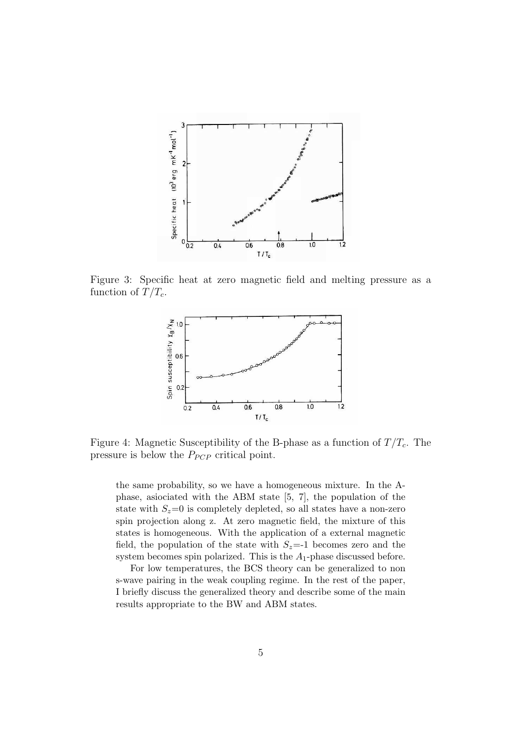

Figure 3: Specific heat at zero magnetic field and melting pressure as a function of  $T/T_c$ .



Figure 4: Magnetic Susceptibility of the B-phase as a function of  $T/T_c$ . The pressure is below the  $P_{PCP}$  critical point.

the same probability, so we have a homogeneous mixture. In the Aphase, asiociated with the ABM state [5, 7], the population of the state with  $S_z=0$  is completely depleted, so all states have a non-zero spin projection along z. At zero magnetic field, the mixture of this states is homogeneous. With the application of a external magnetic field, the population of the state with  $S_z=1$  becomes zero and the system becomes spin polarized. This is the  $A_1$ -phase discussed before.

For low temperatures, the BCS theory can be generalized to non s-wave pairing in the weak coupling regime. In the rest of the paper, I briefly discuss the generalized theory and describe some of the main results appropriate to the BW and ABM states.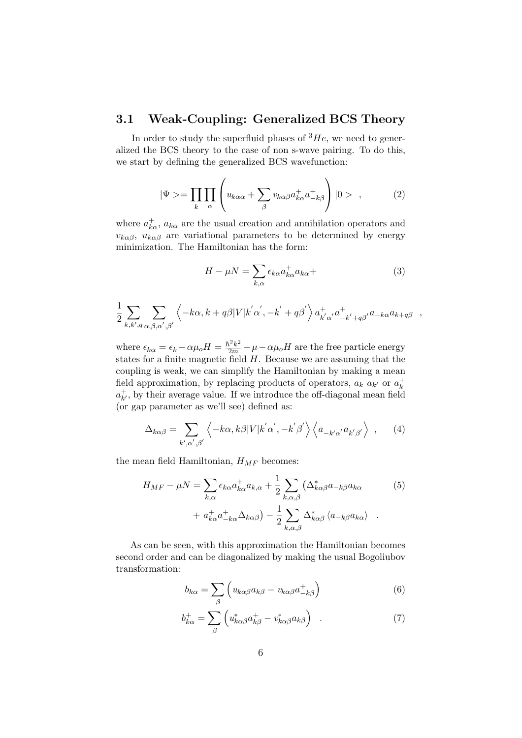#### 3.1 Weak-Coupling: Generalized BCS Theory

In order to study the superfluid phases of  ${}^{3}He$ , we need to generalized the BCS theory to the case of non s-wave pairing. To do this, we start by defining the generalized BCS wavefunction:

$$
|\Psi\rangle = \prod_{k} \prod_{\alpha} \left( u_{k\alpha\alpha} + \sum_{\beta} v_{k\alpha\beta} a_{k\alpha}^{+} a_{-k\beta}^{+} \right) |0\rangle , \qquad (2)
$$

where  $a_{k\alpha}^+$ ,  $a_{k\alpha}$  are the usual creation and annihilation operators and  $v_{k\alpha\beta}$ ,  $u_{k\alpha\beta}$  are variational parameters to be determined by energy minimization. The Hamiltonian has the form:

$$
H - \mu N = \sum_{k,\alpha} \epsilon_{k\alpha} a_{k\alpha}^+ a_{k\alpha} +
$$
 (3)

$$
\frac{1}{2} \sum_{k,k',q} \sum_{\alpha,\beta,\alpha',\beta'} \left\langle -k\alpha, k+q\beta |V|k'\alpha', -k'+q\beta' \right\rangle a_{k'\alpha'}^+ a_{-k'+q\beta'}^+ a_{-k\alpha} a_{k+q\beta} ,
$$

where  $\epsilon_{k\alpha} = \epsilon_k - \alpha \mu_o H = \frac{\hbar^2 k^2}{2m} - \mu - \alpha \mu_o H$  are the free particle energy states for a finite magnetic field  $H$ . Because we are assuming that the coupling is weak, we can simplify the Hamiltonian by making a mean field approximation, by replacing products of operators,  $a_k$   $a_{k'}$  or  $a_k^+$ k  $a_{k'}^+$  $_{k'}^+$ , by their average value. If we introduce the off-diagonal mean field (or gap parameter as we'll see) defined as:

$$
\Delta_{k\alpha\beta} = \sum_{k',\alpha',\beta'} \left\langle -k\alpha, k\beta |V|k'\alpha', -k'\beta' \right\rangle \left\langle a_{-k'\alpha'} a_{k'\beta'} \right\rangle , \qquad (4)
$$

the mean field Hamiltonian,  $H_{MF}$  becomes:

$$
H_{MF} - \mu N = \sum_{k,\alpha} \epsilon_{k\alpha} a_{k\alpha}^+ a_{k,\alpha} + \frac{1}{2} \sum_{k,\alpha,\beta} \left( \Delta_{k\alpha\beta}^* a_{-k\beta} a_{k\alpha} + a_{k\alpha}^+ a_{-k\alpha}^+ \Delta_{k\alpha\beta} \right) - \frac{1}{2} \sum_{k,\alpha,\beta} \Delta_{k\alpha\beta}^* \left\langle a_{-k\beta} a_{k\alpha} \right\rangle . \tag{5}
$$

As can be seen, with this approximation the Hamiltonian becomes second order and can be diagonalized by making the usual Bogoliubov transformation:

$$
b_{k\alpha} = \sum_{\beta} \left( u_{k\alpha\beta} a_{k\beta} - v_{k\alpha\beta} a_{-k\beta}^+ \right) \tag{6}
$$

$$
b_{k\alpha}^{+} = \sum_{\beta} \left( u_{k\alpha\beta}^{*} a_{k\beta}^{+} - v_{k\alpha\beta}^{*} a_{k\beta} \right) \quad . \tag{7}
$$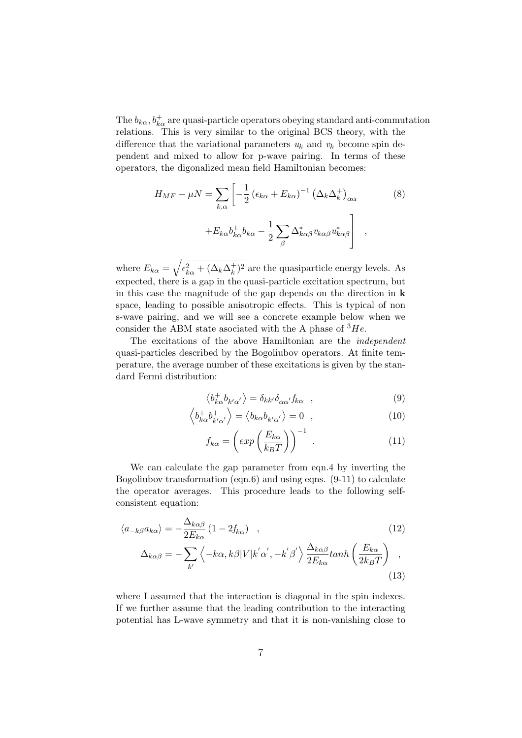The  $b_{k\alpha}, b_{k\alpha}^+$  are quasi-particle operators obeying standard anti-commutation relations. This is very similar to the original BCS theory, with the difference that the variational parameters  $u_k$  and  $v_k$  become spin dependent and mixed to allow for p-wave pairing. In terms of these operators, the digonalized mean field Hamiltonian becomes:

$$
H_{MF} - \mu N = \sum_{k,\alpha} \left[ -\frac{1}{2} \left( \epsilon_{k\alpha} + E_{k\alpha} \right)^{-1} \left( \Delta_k \Delta_k^+ \right)_{\alpha\alpha} + E_{k\alpha} b_{k\alpha}^+ b_{k\alpha} - \frac{1}{2} \sum_{\beta} \Delta_{k\alpha\beta}^* v_{k\alpha\beta} u_{k\alpha\beta}^* \right],
$$
\n(8)

where  $E_{k\alpha} = \sqrt{\epsilon_{k\alpha}^2 + (\Delta_k \Delta_k^+)}$  $(k)$ <sup>+</sup>)<sup>2</sup> are the quasiparticle energy levels. As expected, there is a gap in the quasi-particle excitation spectrum, but in this case the magnitude of the gap depends on the direction in k space, leading to possible anisotropic effects. This is typical of non s-wave pairing, and we will see a concrete example below when we consider the ABM state associated with the A phase of  $^3He$ .

The excitations of the above Hamiltonian are the independent quasi-particles described by the Bogoliubov operators. At finite temperature, the average number of these excitations is given by the standard Fermi distribution:

$$
\left\langle b_{k\alpha}^{+}b_{k'\alpha'}\right\rangle = \delta_{kk'}\delta_{\alpha\alpha'}f_{k\alpha} \quad , \tag{9}
$$

$$
\left\langle b_{k\alpha}^{+}b_{k'\alpha'}^{+}\right\rangle = \left\langle b_{k\alpha}b_{k'\alpha'}\right\rangle = 0 \quad , \tag{10}
$$

$$
f_{k\alpha} = \left(\exp\left(\frac{E_{k\alpha}}{k_BT}\right)\right)^{-1} . \tag{11}
$$

We can calculate the gap parameter from eqn.4 by inverting the Bogoliubov transformation (eqn.6) and using eqns. (9-11) to calculate the operator averages. This procedure leads to the following selfconsistent equation:

$$
\langle a_{-k\beta}a_{k\alpha}\rangle = -\frac{\Delta_{k\alpha\beta}}{2E_{k\alpha}}\left(1 - 2f_{k\alpha}\right) \quad , \tag{12}
$$

$$
\Delta_{k\alpha\beta} = -\sum_{k'} \left\langle -k\alpha, k\beta |V| k'\alpha', -k'\beta' \right\rangle \frac{\Delta_{k\alpha\beta}}{2E_{k\alpha}} \tanh\left(\frac{E_{k\alpha}}{2k_BT}\right) \tag{13}
$$

where I assumed that the interaction is diagonal in the spin indexes. If we further assume that the leading contribution to the interacting potential has L-wave symmetry and that it is non-vanishing close to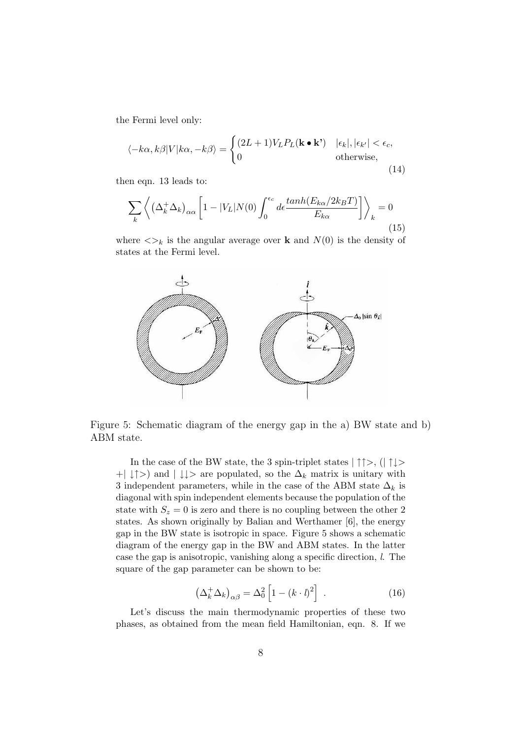the Fermi level only:

$$
\langle -k\alpha, k\beta | V | k\alpha, -k\beta \rangle = \begin{cases} (2L+1) V_L P_L(\mathbf{k} \bullet \mathbf{k}^*) & | \epsilon_k |, | \epsilon_{k'} | < \epsilon_c, \\ 0 & \text{otherwise,} \end{cases} \tag{14}
$$

then eqn. 13 leads to:

$$
\sum_{k} \left\langle \left( \Delta_{k}^{+} \Delta_{k} \right)_{\alpha\alpha} \left[ 1 - |V_{L}| N(0) \int_{0}^{\epsilon_{c}} d\epsilon \frac{\tanh(E_{k\alpha}/2k_{B}T)}{E_{k\alpha}} \right] \right\rangle_{k} = 0
$$
\n(15)

where  $\langle \rangle_k$  is the angular average over **k** and  $N(0)$  is the density of states at the Fermi level.



Figure 5: Schematic diagram of the energy gap in the a) BW state and b) ABM state.

In the case of the BW state, the 3 spin-triplet states  $|\uparrow \uparrow \rangle$ ,  $(|\uparrow \downarrow \rangle$  $+|\downarrow\uparrow\rangle$  and  $|\downarrow\downarrow\rangle$  are populated, so the  $\Delta_k$  matrix is unitary with 3 independent parameters, while in the case of the ABM state  $\Delta_k$  is diagonal with spin independent elements because the population of the state with  $S_z = 0$  is zero and there is no coupling between the other 2 states. As shown originally by Balian and Werthamer [6], the energy gap in the BW state is isotropic in space. Figure 5 shows a schematic diagram of the energy gap in the BW and ABM states. In the latter case the gap is anisotropic, vanishing along a specific direction, l. The square of the gap parameter can be shown to be:

$$
\left(\Delta_k^+ \Delta_k\right)_{\alpha\beta} = \Delta_0^2 \left[1 - (k \cdot l)^2\right] \ . \tag{16}
$$

Let's discuss the main thermodynamic properties of these two phases, as obtained from the mean field Hamiltonian, eqn. 8. If we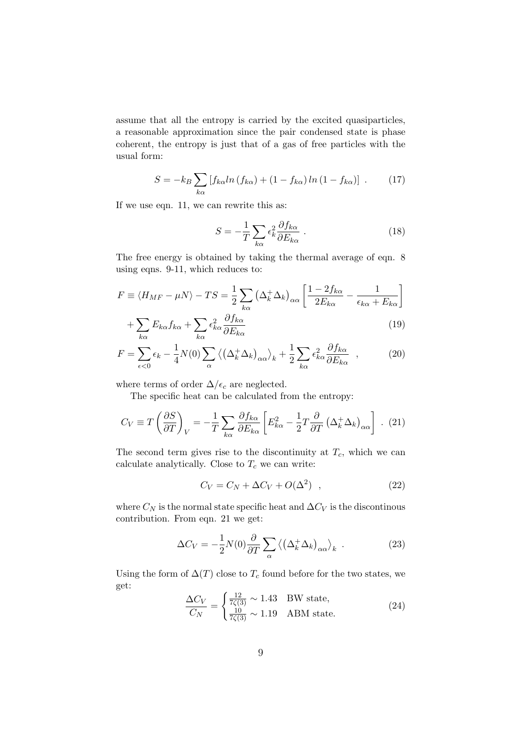assume that all the entropy is carried by the excited quasiparticles, a reasonable approximation since the pair condensed state is phase coherent, the entropy is just that of a gas of free particles with the usual form:

$$
S = -k_B \sum_{k\alpha} \left[ f_{k\alpha} ln \left( f_{k\alpha} \right) + (1 - f_{k\alpha}) ln \left( 1 - f_{k\alpha} \right) \right] \ . \tag{17}
$$

If we use eqn. 11, we can rewrite this as:

$$
S = -\frac{1}{T} \sum_{k\alpha} \epsilon_k^2 \frac{\partial f_{k\alpha}}{\partial E_{k\alpha}} . \tag{18}
$$

The free energy is obtained by taking the thermal average of eqn. 8 using eqns. 9-11, which reduces to:

$$
F \equiv \langle H_{MF} - \mu N \rangle - TS = \frac{1}{2} \sum_{k\alpha} \left( \Delta_k^+ \Delta_k \right)_{\alpha\alpha} \left[ \frac{1 - 2f_{k\alpha}}{2E_{k\alpha}} - \frac{1}{\epsilon_{k\alpha} + E_{k\alpha}} \right]
$$

$$
+\sum_{k\alpha} E_{k\alpha} f_{k\alpha} + \sum_{k\alpha} \epsilon_{k\alpha}^2 \frac{\partial f_{k\alpha}}{\partial E_{k\alpha}}\tag{19}
$$

$$
F = \sum_{\epsilon < 0} \epsilon_k - \frac{1}{4} N(0) \sum_{\alpha} \left\langle \left( \Delta_k^+ \Delta_k \right)_{\alpha \alpha} \right\rangle_k + \frac{1}{2} \sum_{k \alpha} \epsilon_{k \alpha}^2 \frac{\partial f_{k \alpha}}{\partial E_{k \alpha}} \quad , \tag{20}
$$

where terms of order  $\Delta/\epsilon_c$  are neglected.

The specific heat can be calculated from the entropy:

$$
C_V \equiv T \left(\frac{\partial S}{\partial T}\right)_V = -\frac{1}{T} \sum_{k\alpha} \frac{\partial f_{k\alpha}}{\partial E_{k\alpha}} \left[ E_{k\alpha}^2 - \frac{1}{2} T \frac{\partial}{\partial T} \left( \Delta_k^+ \Delta_k \right)_{\alpha\alpha} \right] . (21)
$$

The second term gives rise to the discontinuity at  $T_c$ , which we can calculate analytically. Close to  $T_c$  we can write:

$$
C_V = C_N + \Delta C_V + O(\Delta^2) \quad , \tag{22}
$$

where  $C_N$  is the normal state specific heat and  $\Delta C_V$  is the discontinous contribution. From eqn. 21 we get:

$$
\Delta C_V = -\frac{1}{2} N(0) \frac{\partial}{\partial T} \sum_{\alpha} \left\langle \left( \Delta_k^+ \Delta_k \right)_{\alpha \alpha} \right\rangle_k \tag{23}
$$

Using the form of  $\Delta(T)$  close to  $T_c$  found before for the two states, we get:

$$
\frac{\Delta C_V}{C_N} = \begin{cases} \frac{12}{7\zeta(3)} \sim 1.43 & \text{BW state,} \\ \frac{10}{7\zeta(3)} \sim 1.19 & \text{ABM state.} \end{cases}
$$
(24)